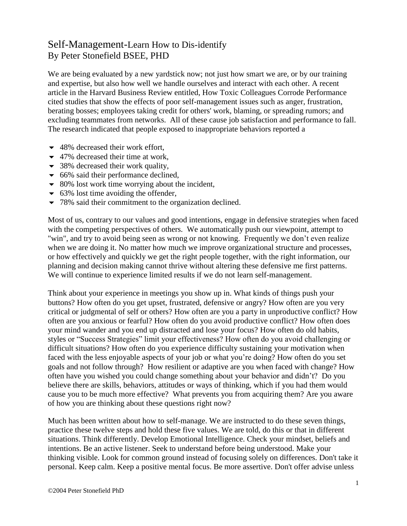# Self-Management-Learn How to Dis-identify By Peter Stonefield BSEE, PHD

We are being evaluated by a new yardstick now; not just how smart we are, or by our training and expertise, but also how well we handle ourselves and interact with each other. A recent article in the Harvard Business Review entitled, How Toxic Colleagues Corrode Performance cited studies that show the effects of poor self-management issues such as anger, frustration, berating bosses; employees taking credit for others' work, blaming, or spreading rumors; and excluding teammates from networks. All of these cause job satisfaction and performance to fall. The research indicated that people exposed to inappropriate behaviors reported a

- $\blacktriangleright$  48% decreased their work effort.
- $\blacktriangleright$  47% decreased their time at work,
- $\blacktriangleright$  38% decreased their work quality,
- 66% said their performance declined,
- $\bullet$  80% lost work time worrying about the incident,
- $\blacktriangleright$  63% lost time avoiding the offender,
- $\blacktriangleright$  78% said their commitment to the organization declined.

Most of us, contrary to our values and good intentions, engage in defensive strategies when faced with the competing perspectives of others. We automatically push our viewpoint, attempt to "win", and try to avoid being seen as wrong or not knowing. Frequently we don't even realize when we are doing it. No matter how much we improve organizational structure and processes, or how effectively and quickly we get the right people together, with the right information, our planning and decision making cannot thrive without altering these defensive me first patterns. We will continue to experience limited results if we do not learn self-management.

Think about your experience in meetings you show up in. What kinds of things push your buttons? How often do you get upset, frustrated, defensive or angry? How often are you very critical or judgmental of self or others? How often are you a party in unproductive conflict? How often are you anxious or fearful? How often do you avoid productive conflict? How often does your mind wander and you end up distracted and lose your focus? How often do old habits, styles or "Success Strategies" limit your effectiveness? How often do you avoid challenging or difficult situations? How often do you experience difficulty sustaining your motivation when faced with the less enjoyable aspects of your job or what you're doing? How often do you set goals and not follow through? How resilient or adaptive are you when faced with change? How often have you wished you could change something about your behavior and didn't? Do you believe there are skills, behaviors, attitudes or ways of thinking, which if you had them would cause you to be much more effective? What prevents you from acquiring them? Are you aware of how you are thinking about these questions right now?

Much has been written about how to self-manage. We are instructed to do these seven things, practice these twelve steps and hold these five values. We are told, do this or that in different situations. Think differently. Develop Emotional Intelligence. Check your mindset, beliefs and intentions. Be an active listener. Seek to understand before being understood. Make your thinking visible. Look for common ground instead of focusing solely on differences. Don't take it personal. Keep calm. Keep a positive mental focus. Be more assertive. Don't offer advise unless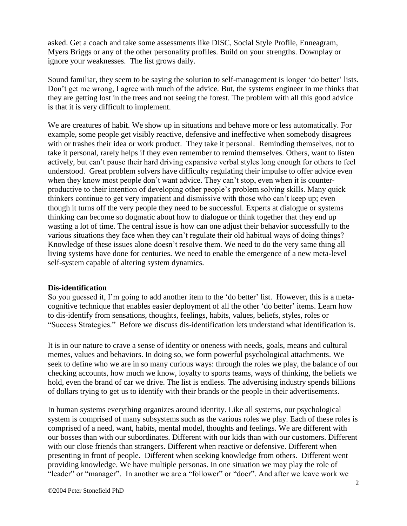asked. Get a coach and take some assessments like DISC, Social Style Profile, Enneagram, Myers Briggs or any of the other personality profiles. Build on your strengths. Downplay or ignore your weaknesses. The list grows daily.

Sound familiar, they seem to be saying the solution to self-management is longer 'do better' lists. Don't get me wrong, I agree with much of the advice*.* But, the systems engineer in me thinks that they are getting lost in the trees and not seeing the forest. The problem with all this good advice is that it is very difficult to implement.

We are creatures of habit. We show up in situations and behave more or less automatically. For example, some people get visibly reactive, defensive and ineffective when somebody disagrees with or trashes their idea or work product. They take it personal. Reminding themselves, not to take it personal, rarely helps if they even remember to remind themselves. Others, want to listen actively, but can't pause their hard driving expansive verbal styles long enough for others to feel understood. Great problem solvers have difficulty regulating their impulse to offer advice even when they know most people don't want advice. They can't stop, even when it is counterproductive to their intention of developing other people's problem solving skills. Many quick thinkers continue to get very impatient and dismissive with those who can't keep up; even though it turns off the very people they need to be successful. Experts at dialogue or systems thinking can become so dogmatic about how to dialogue or think together that they end up wasting a lot of time. The central issue is how can one adjust their behavior successfully to the various situations they face when they can't regulate their old habitual ways of doing things? Knowledge of these issues alone doesn't resolve them. We need to do the very same thing all living systems have done for centuries. We need to enable the emergence of a new meta-level self-system capable of altering system dynamics.

## **Dis-identification**

So you guessed it, I'm going to add another item to the 'do better' list. However, this is a metacognitive technique that enables easier deployment of all the other 'do better' items. Learn how to dis-identify from sensations, thoughts, feelings, habits, values, beliefs, styles, roles or "Success Strategies." Before we discuss dis-identification lets understand what identification is.

It is in our nature to crave a sense of identity or oneness with needs, goals, means and cultural memes, values and behaviors. In doing so, we form powerful psychological attachments. We seek to define who we are in so many curious ways: through the [roles](http://www.wordwiseweb.com/BLINDERS/Money.html) we play, the balance of our checking accounts, how much we know, loyalty to sports teams, ways of thinking, the beliefs we hold, even the brand of car we drive. The list is endless. The advertising industry spends billions of dollars trying to get us to identify with their brands or the people in their advertisements.

In human systems everything organizes around identity. Like all systems, our psychological system is comprised of many subsystems such as the various roles we play. Each of these roles is comprised of a need, want, habits, mental model, thoughts and feelings. We are different with our bosses than with our subordinates. Different with our kids than with our customers. Different with our close friends than strangers. Different when reactive or defensive. Different when presenting in front of people. Different when seeking knowledge from others. Different went providing knowledge. We have multiple personas. In one situation we may play the role of "leader" or "manager". In another we are a "follower" or "doer". And after we leave work we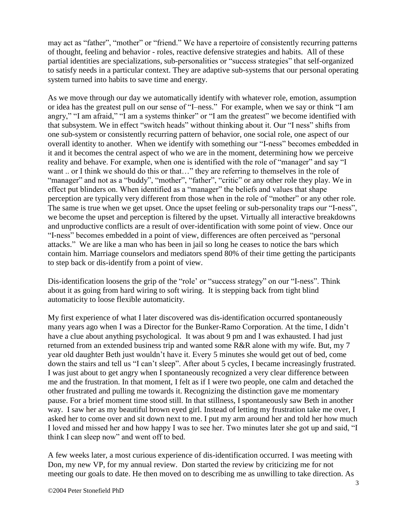may act as "father", "mother" or "friend." We have a repertoire of consistently recurring patterns of thought, feeling and behavior - roles, reactive defensive strategies and habits. All of these partial identities are specializations, sub-personalities or "success strategies" that self-organized to satisfy needs in a particular context. They are adaptive sub-systems that our personal operating system turned into habits to save time and energy.

As we move through our day we automatically identify with whatever role, emotion, assumption or idea has the greatest pull on our sense of "I–ness."For example, when we say or think "I am angry," "I am afraid," "I am a systems thinker" or "I am the greatest" we become identified with that subsystem. We in effect "switch heads" without thinking about it. Our "I ness" shifts from one sub-system or consistently recurring pattern of behavior, one social role, one aspect of our overall identity to another. When we identify with something our "I-ness" becomes embedded in it and it becomes the central aspect of who we are in the moment, determining how we perceive reality and behave. For example, when one is identified with the role of "manager" and say "I want .. or I think we should do this or that…" they are referring to themselves in the role of "manager" and not as a "buddy", "mother", "father", "critic" or any other role they play. We in effect put blinders on. When identified as a "manager" the beliefs and values that shape perception are typically very different from those when in the role of "mother" or any other role. The same is true when we get upset. Once the upset feeling or sub-personality traps our "I-ness", we become the upset and perception is filtered by the upset. Virtually all interactive breakdowns and unproductive conflicts are a result of over-identification with some point of view. Once our "I-ness" becomes embedded in a point of view, differences are often perceived as "personal attacks." We are like a man who has been in jail so long he ceases to notice the bars which contain him. Marriage counselors and mediators spend 80% of their time getting the participants to step back or dis-identify from a point of view.

Dis-identification loosens the grip of the "role' or "success strategy" on our "I-ness". Think about it as going from hard wiring to soft wiring. It is stepping back from tight blind automaticity to loose flexible automaticity.

My first experience of what I later discovered was dis-identification occurred spontaneously many years ago when I was a Director for the Bunker-Ramo Corporation. At the time, I didn't have a clue about anything psychological. It was about 9 pm and I was exhausted. I had just returned from an extended business trip and wanted some R&R alone with my wife. But, my 7 year old daughter Beth just wouldn't have it. Every 5 minutes she would get out of bed, come down the stairs and tell us "I can't sleep". After about 5 cycles, I became increasingly frustrated. I was just about to get angry when I spontaneously recognized a very clear difference between me and the frustration. In that moment, I felt as if I were two people, one calm and detached the other frustrated and pulling me towards it. Recognizing the distinction gave me momentary pause. For a brief moment time stood still. In that stillness, I spontaneously saw Beth in another way. I saw her as my beautiful brown eyed girl. Instead of letting my frustration take me over, I asked her to come over and sit down next to me. I put my arm around her and told her how much I loved and missed her and how happy I was to see her. Two minutes later she got up and said, "I think I can sleep now" and went off to bed.

A few weeks later, a most curious experience of dis-identification occurred. I was meeting with Don, my new VP, for my annual review. Don started the review by criticizing me for not meeting our goals to date. He then moved on to describing me as unwilling to take direction. As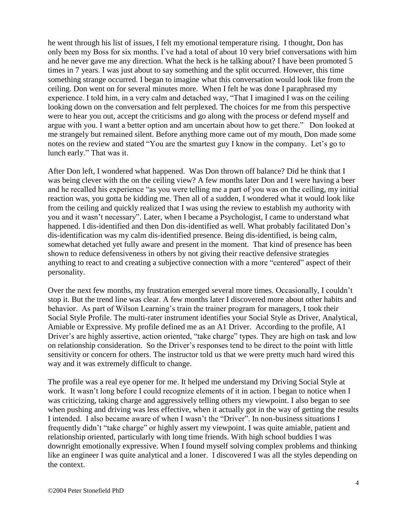he went through his list of issues, I felt my emotional temperature rising. I thought, Don has only been my Boss for six months. I've had a total of about 10 very brief conversations with him and he never gave me any direction. What the heck is he talking about? I have been promoted 5 times in 7 years. I was just about to say something and the split occurred. However, this time something strange occurred. I began to imagine what this conversation would look like from the ceiling. Don went on for several minutes more. When I felt he was done I paraphrased my experience. I told him, in a very calm and detached way, "That I imagined I was on the ceiling looking down on the conversation and felt perplexed. The choices for me from this perspective were to hear you out, accept the criticisms and go along with the process or defend myself and argue with you. I want a better option and am uncertain about how to get there." Don looked at me strangely but remained silent. Before anything more came out of my mouth, Don made some notes on the review and stated "You are the smartest guy I know in the company. Let's go to lunch early." That was it.

After Don left, I wondered what happened. Was Don thrown off balance? Did he think that I was being clever with the on the ceiling view? A few months later Don and I were having a beer and he recalled his experience "as you were telling me a part of you was on the ceiling, my initial reaction was, you gotta be kidding me. Then all of a sudden, I wondered what it would look like from the ceiling and quickly realized that I was using the review to establish my authority with you and it wasn't necessary". Later, when I became a Psychologist, I came to understand what happened. I dis-identified and then Don dis-identified as well. What probably facilitated Don's dis-identification was my calm dis-identified presence. Being dis-identified, is being calm, somewhat detached yet fully aware and present in the moment. That kind of presence has been shown to reduce defensiveness in others by not giving their reactive defensive strategies anything to react to and creating a subjective connection with a more "centered" aspect of their personality.

Over the next few months, my frustration emerged several more times. Occasionally, I couldn't stop it. But the trend line was clear. A few months later I discovered more about other habits and behavior. As part of Wilson Learning's train the trainer program for managers, I took their Social Style Profile. The multi-rater instrument identifies your Social Style as Driver, Analytical, Amiable or Expressive. My profile defined me as an A1 Driver. According to the profile, A1 Driver's are highly assertive, action oriented, "take charge" types. They are high on task and low on relationship consideration. So the Driver's responses tend to be direct to the point with little sensitivity or concern for others. The instructor told us that we were pretty much hard wired this way and it was extremely difficult to change.

The profile was a real eye opener for me. It helped me understand my Driving Social Style at work. It wasn't long before I could recognize elements of it in action. I began to notice when I was criticizing, taking charge and aggressively telling others my viewpoint. I also began to see when pushing and driving was less effective, when it actually got in the way of getting the results I intended. I also became aware of when I wasn't the "Driver". In non-business situations I frequently didn't "take charge" or highly assert my viewpoint. I was quite amiable, patient and relationship oriented, particularly with long time friends. With high school buddies I was downright emotionally expressive. When I found myself solving complex problems and thinking like an engineer I was quite analytical and a loner. I discovered I was all the styles depending on the context.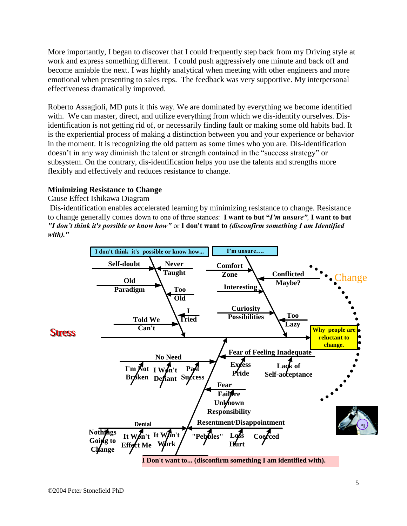More importantly, I began to discover that I could frequently step back from my Driving style at work and express something different. I could push aggressively one minute and back off and become amiable the next. I was highly analytical when meeting with other engineers and more emotional when presenting to sales reps. The feedback was very supportive. My interpersonal effectiveness dramatically improved.

Roberto Assagioli, MD puts it this way. We are dominated by everything we become identified with. We can master, direct, and utilize everything from which we dis-identify ourselves. Disidentification is not getting rid of, or necessarily finding fault or making some old habits bad. It is the experiential process of making a distinction between you and your experience or behavior in the moment. It is recognizing the old pattern as some times who you are. Dis-identification doesn't in any way diminish the talent or strength contained in the "success strategy" or subsystem. On the contrary, dis-identification helps you use the talents and strengths more flexibly and effectively and reduces resistance to change.

# **Minimizing Resistance to Change**

#### Cause Effect Ishikawa Diagram

Dis-identification enables accelerated learning by minimizing resistance to change. Resistance to change generally comes down to one of three stances: **I want to but "***I'm unsure",* **I want to but**  *"I don't think it's possible or know how"* or **I don't want to** *(disconfirm something I am Identified with)."*

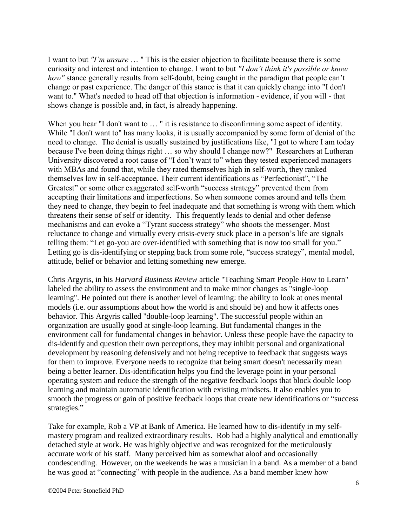I want to but *"I'm unsure* … " This is the easier objection to facilitate because there is some curiosity and interest and intention to change. I want to but *"I don't think it's possible or know how"* stance generally results from self-doubt, being caught in the paradigm that people can't change or past experience. The danger of this stance is that it can quickly change into "I don't want to." What's needed to head off that objection is information - evidence, if you will - that shows change is possible and, in fact, is already happening.

When you hear "I don't want to ... " it is resistance to disconfirming some aspect of identity. While "I don't want to" has many looks, it is usually accompanied by some form of denial of the need to change. The denial is usually sustained by justifications like, "I got to where I am today because I've been doing things right … so why should I change now?" Researchers at Lutheran University discovered a root cause of "I don't want to" when they tested experienced managers with MBAs and found that, while they rated themselves high in self-worth, they ranked themselves low in self-acceptance. Their current identifications as "Perfectionist", "The Greatest" or some other exaggerated self-worth "success strategy" prevented them from accepting their limitations and imperfections. So when someone comes around and tells them they need to change, they begin to feel inadequate and that something is wrong with them which threatens their sense of self or identity. This frequently leads to denial and other defense mechanisms and can evoke a "Tyrant success strategy" who shoots the messenger. Most reluctance to change and virtually every crisis-every stuck place in a person's life are signals telling them: "Let go-you are over-identified with something that is now too small for you." Letting go is dis-identifying or stepping back from some role, "success strategy", mental model, attitude, belief or behavior and letting something new emerge.

Chris Argyris, in his *Harvard Business Review* article "Teaching Smart People How to Learn" labeled the ability to assess the environment and to make minor changes as "single-loop learning". He pointed out there is another level of learning: the ability to look at ones mental models (i.e. our assumptions about how the world is and should be) and how it affects ones behavior. This Argyris called "double-loop learning". The successful people within an organization are usually good at single-loop learning. But fundamental changes in the environment call for fundamental changes in behavior. Unless these people have the capacity to dis-identify and question their own perceptions, they may inhibit personal and organizational development by reasoning defensively and not being receptive to feedback that suggests ways for them to improve. Everyone needs to recognize that being smart doesn't necessarily mean being a better learner. Dis-identification helps you find the leverage point in your personal operating system and reduce the strength of the negative feedback loops that block double loop learning and maintain automatic identification with existing mindsets. It also enables you to smooth the progress or gain of positive feedback loops that create new identifications or "success strategies."

Take for example, Rob a VP at Bank of America. He learned how to dis-identify in my selfmastery program and realized extraordinary results. Rob had a highly analytical and emotionally detached style at work. He was highly objective and was recognized for the meticulously accurate work of his staff. Many perceived him as somewhat aloof and occasionally condescending. However, on the weekends he was a musician in a band. As a member of a band he was good at "connecting" with people in the audience. As a band member knew how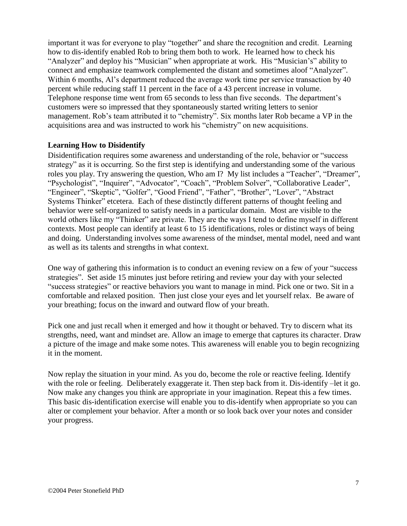important it was for everyone to play "together" and share the recognition and credit. Learning how to dis-identify enabled Rob to bring them both to work. He learned how to check his "Analyzer" and deploy his "Musician" when appropriate at work. His "Musician's" ability to connect and emphasize teamwork complemented the distant and sometimes aloof "Analyzer". Within 6 months, Al's department reduced the average work time per service transaction by 40 percent while reducing staff 11 percent in the face of a 43 percent increase in volume. Telephone response time went from 65 seconds to less than five seconds. The department's customers were so impressed that they spontaneously started writing letters to senior management. Rob's team attributed it to "chemistry". Six months later Rob became a VP in the acquisitions area and was instructed to work his "chemistry" on new acquisitions.

## **Learning How to Disidentify**

Disidentification requires some awareness and understanding of the role, behavior or "success strategy" as it is occurring. So the first step is identifying and understanding some of the various roles you play. Try answering the question, Who am I? My list includes a "Teacher", "Dreamer", "Psychologist", "Inquirer", "Advocator", "Coach", "Problem Solver", "Collaborative Leader", "Engineer", "Skeptic", "Golfer", "Good Friend", "Father", "Brother", "Lover", "Abstract Systems Thinker" etcetera. Each of these distinctly different patterns of thought feeling and behavior were self-organized to satisfy needs in a particular domain. Most are visible to the world others like my "Thinker" are private. They are the ways I tend to define myself in different contexts. Most people can identify at least 6 to 15 identifications, roles or distinct ways of being and doing. Understanding involves some awareness of the mindset, mental model, need and want as well as its talents and strengths in what context.

One way of gathering this information is to conduct an evening review on a few of your "success strategies". Set aside 15 minutes just before retiring and review your day with your selected "success strategies" or reactive behaviors you want to manage in mind. Pick one or two. Sit in a comfortable and relaxed position. Then just close your eyes and let yourself relax. Be aware of your breathing; focus on the inward and outward flow of your breath.

Pick one and just recall when it emerged and how it thought or behaved. Try to discern what its strengths, need, want and mindset are. Allow an image to emerge that captures its character. Draw a picture of the image and make some notes. This awareness will enable you to begin recognizing it in the moment.

Now replay the situation in your mind. As you do, become the role or reactive feeling. Identify with the role or feeling. Deliberately exaggerate it. Then step back from it. Dis-identify –let it go. Now make any changes you think are appropriate in your imagination. Repeat this a few times. This basic dis-identification exercise will enable you to dis-identify when appropriate so you can alter or complement your behavior. After a month or so look back over your notes and consider your progress.